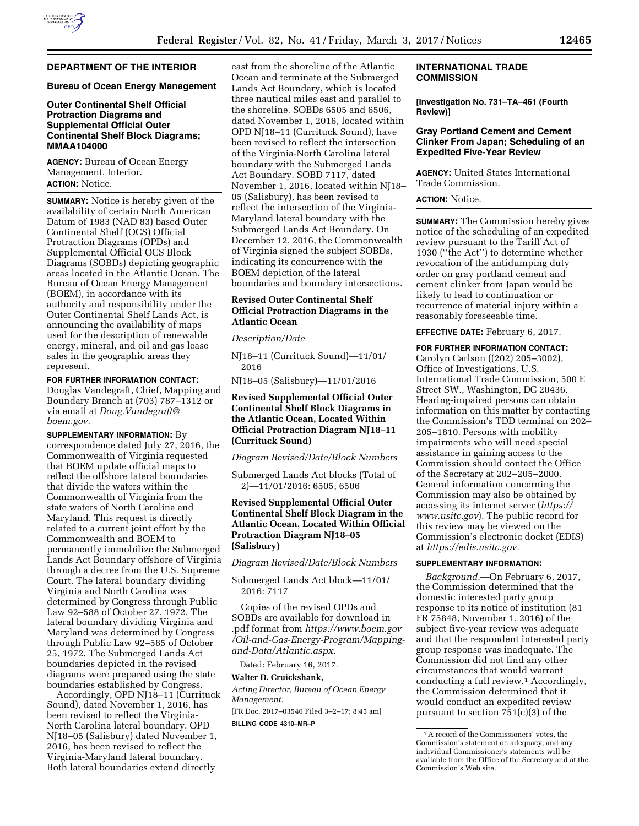# **DEPARTMENT OF THE INTERIOR**

### **Bureau of Ocean Energy Management**

# **Outer Continental Shelf Official Protraction Diagrams and Supplemental Official Outer Continental Shelf Block Diagrams; MMAA104000**

**AGENCY:** Bureau of Ocean Energy Management, Interior. **ACTION:** Notice.

**SUMMARY:** Notice is hereby given of the availability of certain North American Datum of 1983 (NAD 83) based Outer Continental Shelf (OCS) Official Protraction Diagrams (OPDs) and Supplemental Official OCS Block Diagrams (SOBDs) depicting geographic areas located in the Atlantic Ocean. The Bureau of Ocean Energy Management (BOEM), in accordance with its authority and responsibility under the Outer Continental Shelf Lands Act, is announcing the availability of maps used for the description of renewable energy, mineral, and oil and gas lease sales in the geographic areas they represent.

**FOR FURTHER INFORMATION CONTACT:**  Douglas Vandegraft, Chief, Mapping and Boundary Branch at (703) 787–1312 or via email at *[Doug.Vandegraft@](mailto:Doug.Vandegraft@boem.gov) [boem.gov.](mailto:Doug.Vandegraft@boem.gov)* 

**SUPPLEMENTARY INFORMATION:** By correspondence dated July 27, 2016, the Commonwealth of Virginia requested that BOEM update official maps to reflect the offshore lateral boundaries that divide the waters within the Commonwealth of Virginia from the state waters of North Carolina and Maryland. This request is directly related to a current joint effort by the Commonwealth and BOEM to permanently immobilize the Submerged Lands Act Boundary offshore of Virginia through a decree from the U.S. Supreme Court. The lateral boundary dividing Virginia and North Carolina was determined by Congress through Public Law 92–588 of October 27, 1972. The lateral boundary dividing Virginia and Maryland was determined by Congress through Public Law 92–565 of October 25, 1972. The Submerged Lands Act boundaries depicted in the revised diagrams were prepared using the state boundaries established by Congress.

Accordingly, OPD NJ18–11 (Currituck Sound), dated November 1, 2016, has been revised to reflect the Virginia-North Carolina lateral boundary. OPD NJ18–05 (Salisbury) dated November 1, 2016, has been revised to reflect the Virginia-Maryland lateral boundary. Both lateral boundaries extend directly

east from the shoreline of the Atlantic Ocean and terminate at the Submerged Lands Act Boundary, which is located three nautical miles east and parallel to the shoreline. SOBDs 6505 and 6506, dated November 1, 2016, located within OPD NJ18–11 (Currituck Sound), have been revised to reflect the intersection of the Virginia-North Carolina lateral boundary with the Submerged Lands Act Boundary. SOBD 7117, dated November 1, 2016, located within NJ18– 05 (Salisbury), has been revised to reflect the intersection of the Virginia-Maryland lateral boundary with the Submerged Lands Act Boundary. On December 12, 2016, the Commonwealth of Virginia signed the subject SOBDs, indicating its concurrence with the BOEM depiction of the lateral boundaries and boundary intersections.

# **Revised Outer Continental Shelf Official Protraction Diagrams in the Atlantic Ocean**

*Description/Date* 

NJ18–11 (Currituck Sound)—11/01/ 2016

NJ18–05 (Salisbury)—11/01/2016

# **Revised Supplemental Official Outer Continental Shelf Block Diagrams in the Atlantic Ocean, Located Within Official Protraction Diagram NJ18–11 (Currituck Sound)**

*Diagram Revised/Date/Block Numbers* 

Submerged Lands Act blocks (Total of 2)—11/01/2016: 6505, 6506

# **Revised Supplemental Official Outer Continental Shelf Block Diagram in the Atlantic Ocean, Located Within Official Protraction Diagram NJ18–05 (Salisbury)**

*Diagram Revised/Date/Block Numbers* 

Submerged Lands Act block—11/01/ 2016: 7117

Copies of the revised OPDs and SOBDs are available for download in .pdf format from *[https://www.boem.gov](https://www.boem.gov/Oil-and-Gas-Energy-Program/Mapping-and-Data/Atlantic.aspx) [/Oil-and-Gas-Energy-Program/Mapping](https://www.boem.gov/Oil-and-Gas-Energy-Program/Mapping-and-Data/Atlantic.aspx)[and-Data/Atlantic.aspx.](https://www.boem.gov/Oil-and-Gas-Energy-Program/Mapping-and-Data/Atlantic.aspx)* 

Dated: February 16, 2017.

### **Walter D. Cruickshank,**

*Acting Director, Bureau of Ocean Energy Management.* 

[FR Doc. 2017–03546 Filed 3–2–17; 8:45 am] **BILLING CODE 4310–MR–P** 

# **INTERNATIONAL TRADE COMMISSION**

**[Investigation No. 731–TA–461 (Fourth Review)]** 

### **Gray Portland Cement and Cement Clinker From Japan; Scheduling of an Expedited Five-Year Review**

**AGENCY:** United States International Trade Commission.

# **ACTION:** Notice.

**SUMMARY:** The Commission hereby gives notice of the scheduling of an expedited review pursuant to the Tariff Act of 1930 (''the Act'') to determine whether revocation of the antidumping duty order on gray portland cement and cement clinker from Japan would be likely to lead to continuation or recurrence of material injury within a reasonably foreseeable time.

**EFFECTIVE DATE:** February 6, 2017.

### **FOR FURTHER INFORMATION CONTACT:**

Carolyn Carlson ((202) 205–3002), Office of Investigations, U.S. International Trade Commission, 500 E Street SW., Washington, DC 20436. Hearing-impaired persons can obtain information on this matter by contacting the Commission's TDD terminal on 202– 205–1810. Persons with mobility impairments who will need special assistance in gaining access to the Commission should contact the Office of the Secretary at 202–205–2000. General information concerning the Commission may also be obtained by accessing its internet server (*[https://](https://www.usitc.gov) [www.usitc.gov](https://www.usitc.gov)*). The public record for this review may be viewed on the Commission's electronic docket (EDIS) at *[https://edis.usitc.gov.](https://edis.usitc.gov)* 

# **SUPPLEMENTARY INFORMATION:**

*Background.*—On February 6, 2017, the Commission determined that the domestic interested party group response to its notice of institution (81 FR 75848, November 1, 2016) of the subject five-year review was adequate and that the respondent interested party group response was inadequate. The Commission did not find any other circumstances that would warrant conducting a full review.1 Accordingly, the Commission determined that it would conduct an expedited review pursuant to section 751(c)(3) of the

<sup>1</sup>A record of the Commissioners' votes, the Commission's statement on adequacy, and any individual Commissioner's statements will be available from the Office of the Secretary and at the Commission's Web site.